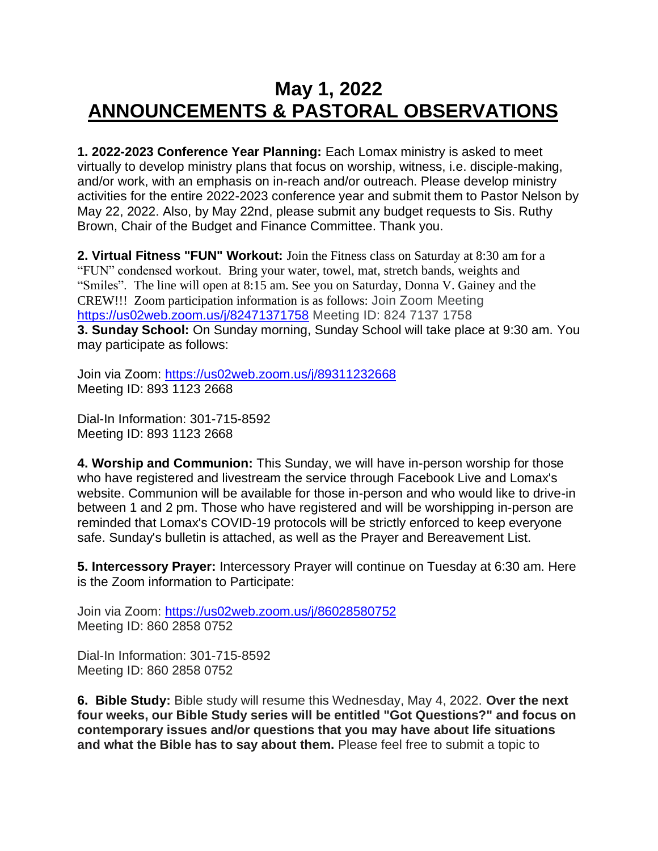## **May 1, 2022 ANNOUNCEMENTS & PASTORAL OBSERVATIONS**

**1. 2022-2023 Conference Year Planning:** Each Lomax ministry is asked to meet virtually to develop ministry plans that focus on worship, witness, i.e. disciple-making, and/or work, with an emphasis on in-reach and/or outreach. Please develop ministry activities for the entire 2022-2023 conference year and submit them to Pastor Nelson by May 22, 2022. Also, by May 22nd, please submit any budget requests to Sis. Ruthy Brown, Chair of the Budget and Finance Committee. Thank you.

**2. Virtual Fitness "FUN" Workout:** Join the Fitness class on Saturday at 8:30 am for a "FUN" condensed workout. Bring your water, towel, mat, stretch bands, weights and "Smiles". The line will open at 8:15 am. See you on Saturday, Donna V. Gainey and the CREW!!! Zoom participation information is as follows: Join Zoom Meeting [https://us02web.zoom.us/j/82471371758](https://nam12.safelinks.protection.outlook.com/?url=https%3A%2F%2Fwww.google.com%2Furl%3Fq%3Dhttps%3A%2F%2Fus02web.zoom.us%2Fj%2F82471371758%26sa%3DD%26source%3Dcalendar%26usd%3D2%26usg%3DAOvVaw3Rr5ppJbraDqvychIyG1kh&data=05%7C01%7C%7C8714deb1965945c5f4ee08da24a374a5%7C84df9e7fe9f640afb435aaaaaaaaaaaa%7C1%7C0%7C637862582633681611%7CUnknown%7CTWFpbGZsb3d8eyJWIjoiMC4wLjAwMDAiLCJQIjoiV2luMzIiLCJBTiI6Ik1haWwiLCJXVCI6Mn0%3D%7C3000%7C%7C%7C&sdata=%2Bb%2FT4ndNXz5mln1tn6DqOvgr%2BdqEjsPz77gS3ZhhIrg%3D&reserved=0) Meeting ID: 824 7137 1758 **3. Sunday School:** On Sunday morning, Sunday School will take place at 9:30 am. You may participate as follows:

Join via Zoom: [https://us02web.zoom.us/j/89311232668](https://nam12.safelinks.protection.outlook.com/?url=https%3A%2F%2Fus02web.zoom.us%2Fj%2F89311232668&data=05%7C01%7C%7C8714deb1965945c5f4ee08da24a374a5%7C84df9e7fe9f640afb435aaaaaaaaaaaa%7C1%7C0%7C637862582633681611%7CUnknown%7CTWFpbGZsb3d8eyJWIjoiMC4wLjAwMDAiLCJQIjoiV2luMzIiLCJBTiI6Ik1haWwiLCJXVCI6Mn0%3D%7C3000%7C%7C%7C&sdata=D7zci727cCnw8JHoblnpgMx8Ny63mTTDEJa%2BSeJ64%2FE%3D&reserved=0) Meeting ID: 893 1123 2668

Dial-In Information: 301-715-8592 Meeting ID: 893 1123 2668

**4. Worship and Communion:** This Sunday, we will have in-person worship for those who have registered and livestream the service through Facebook Live and Lomax's website. Communion will be available for those in-person and who would like to drive-in between 1 and 2 pm. Those who have registered and will be worshipping in-person are reminded that Lomax's COVID-19 protocols will be strictly enforced to keep everyone safe. Sunday's bulletin is attached, as well as the Prayer and Bereavement List.

**5. Intercessory Prayer:** Intercessory Prayer will continue on Tuesday at 6:30 am. Here is the Zoom information to Participate:

Join via Zoom: [https://us02web.zoom.us/j/86028580752](https://nam12.safelinks.protection.outlook.com/?url=https%3A%2F%2Fus02web.zoom.us%2Fj%2F86028580752&data=05%7C01%7C%7C8714deb1965945c5f4ee08da24a374a5%7C84df9e7fe9f640afb435aaaaaaaaaaaa%7C1%7C0%7C637862582633681611%7CUnknown%7CTWFpbGZsb3d8eyJWIjoiMC4wLjAwMDAiLCJQIjoiV2luMzIiLCJBTiI6Ik1haWwiLCJXVCI6Mn0%3D%7C3000%7C%7C%7C&sdata=M6hlbwTsBXlaHHzuI2VYO7h1qGfzM1nL%2BBkOxg0V4Ls%3D&reserved=0) Meeting ID: 860 2858 0752

Dial-In Information: 301-715-8592 Meeting ID: 860 2858 0752

**6. Bible Study:** Bible study will resume this Wednesday, May 4, 2022. **Over the next four weeks, our Bible Study series will be entitled "Got Questions?" and focus on contemporary issues and/or questions that you may have about life situations and what the Bible has to say about them.** Please feel free to submit a topic to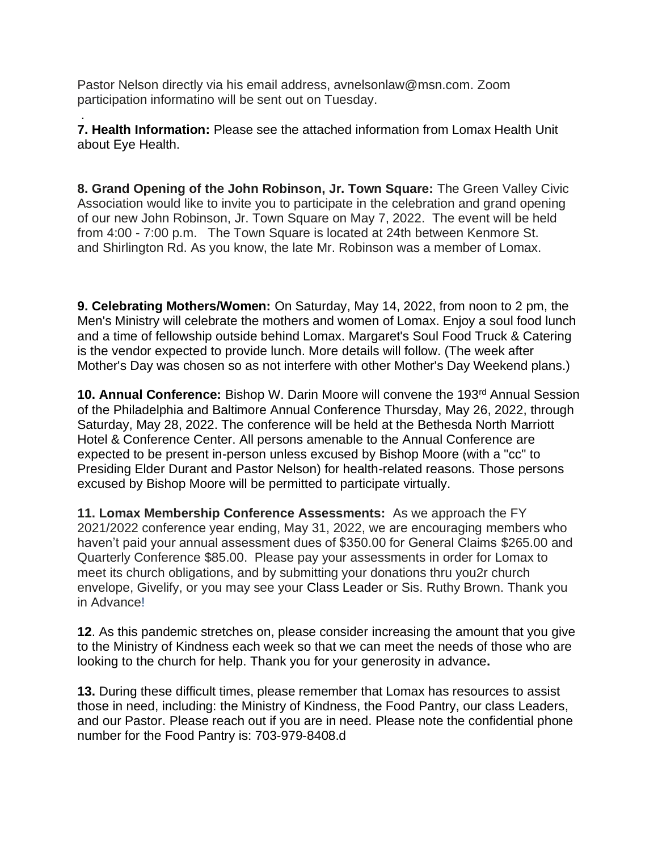Pastor Nelson directly via his email address, avnelsonlaw@msn.com. Zoom participation informatino will be sent out on Tuesday.

. **7. Health Information:** Please see the attached information from Lomax Health Unit about Eye Health.

**8. Grand Opening of the John Robinson, Jr. Town Square:** The Green Valley Civic Association would like to invite you to participate in the celebration and grand opening of our new John Robinson, Jr. Town Square on May 7, 2022. The event will be held from 4:00 - 7:00 p.m. The Town Square is located at 24th between Kenmore St. and Shirlington Rd. As you know, the late Mr. Robinson was a member of Lomax.

**9. Celebrating Mothers/Women:** On Saturday, May 14, 2022, from noon to 2 pm, the Men's Ministry will celebrate the mothers and women of Lomax. Enjoy a soul food lunch and a time of fellowship outside behind Lomax. Margaret's Soul Food Truck & Catering is the vendor expected to provide lunch. More details will follow. (The week after Mother's Day was chosen so as not interfere with other Mother's Day Weekend plans.)

10. Annual Conference: Bishop W. Darin Moore will convene the 193<sup>rd</sup> Annual Session of the Philadelphia and Baltimore Annual Conference Thursday, May 26, 2022, through Saturday, May 28, 2022. The conference will be held at the Bethesda North Marriott Hotel & Conference Center. All persons amenable to the Annual Conference are expected to be present in-person unless excused by Bishop Moore (with a "cc" to Presiding Elder Durant and Pastor Nelson) for health-related reasons. Those persons excused by Bishop Moore will be permitted to participate virtually.

**11. Lomax Membership Conference Assessments:** As we approach the FY 2021/2022 conference year ending, May 31, 2022, we are encouraging members who haven't paid your annual assessment dues of \$350.00 for General Claims \$265.00 and Quarterly Conference \$85.00. Please pay your assessments in order for Lomax to meet its church obligations, and by submitting your donations thru you2r church envelope, Givelify, or you may see your Class Leader or Sis. Ruthy Brown. Thank you in Advance!

**12**. As this pandemic stretches on, please consider increasing the amount that you give to the Ministry of Kindness each week so that we can meet the needs of those who are looking to the church for help. Thank you for your generosity in advance**.**

**13.** During these difficult times, please remember that Lomax has resources to assist those in need, including: the Ministry of Kindness, the Food Pantry, our class Leaders, and our Pastor. Please reach out if you are in need. Please note the confidential phone number for the Food Pantry is: 703-979-8408.d